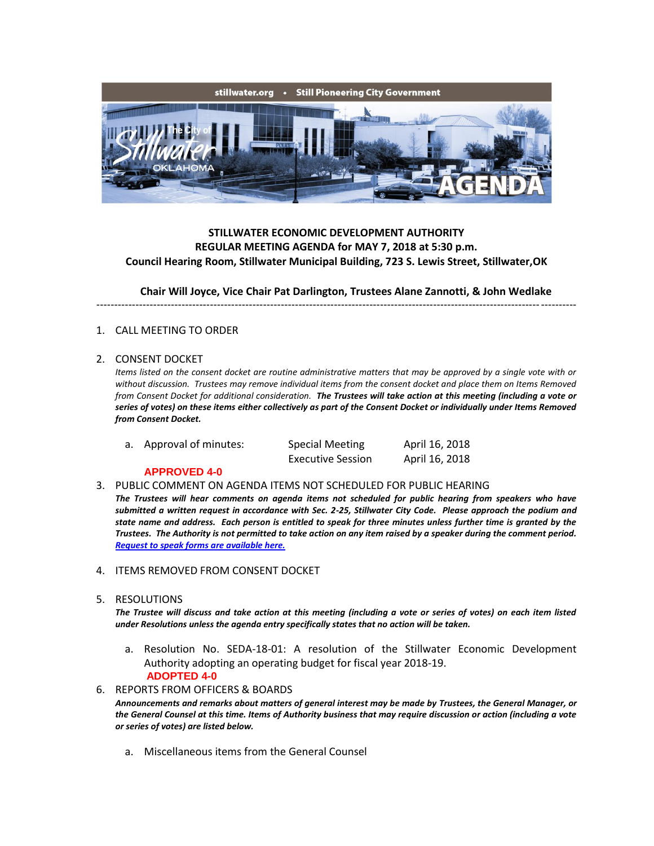

## **STILLWATER ECONOMIC DEVELOPMENT AUTHORITY REGULAR MEETING AGENDA for MAY 7, 2018 at 5:30 p.m. Council Hearing Room, Stillwater Municipal Building, 723 S. Lewis Street, Stillwater,OK**

**Chair Will Joyce, Vice Chair Pat Darlington, Trustees Alane Zannotti, & John Wedlake**

---------------------------------------------------------------------------------------------------------------------------------------

## 1. CALL MEETING TO ORDER

## 2. CONSENT DOCKET

*Items listed on the consent docket are routine administrative matters that may be approved by a single vote with or without discussion. Trustees may remove individual items from the consent docket and place them on Items Removed from Consent Docket for additional consideration. The Trustees will take action at this meeting (including a vote or series of votes) on these items either collectively as part of the Consent Docket or individually under Items Removed from Consent Docket.*

a. Approval of minutes: Special Meeting April 16, 2018

Executive Session April 16, 2018

## **APPROVED 4-0**

- 3. PUBLIC COMMENT ON AGENDA ITEMS NOT SCHEDULED FOR PUBLIC HEARING *The Trustees will hear comments on agenda items not scheduled for public hearing from speakers who have submitted a written request in accordance with Sec. 2-25, Stillwater City Code. Please approach the podium and state name and address. Each person is entitled to speak for three minutes unless further time is granted by the Trustees. The Authority is not permitted to take action on any item raised by a speaker during the comment period. [Request to speak forms are available here.](http://stillwater.org/document/request_to_speak_at_city_council.php)*
- 4. ITEMS REMOVED FROM CONSENT DOCKET
- 5. RESOLUTIONS

*The Trustee will discuss and take action at this meeting (including a vote or series of votes) on each item listed under Resolutions unless the agenda entry specifically states that no action will be taken.*

- a. Resolution No. SEDA-18-01: A resolution of the Stillwater Economic Development Authority adopting an operating budget for fiscal year 2018-19.  **ADOPTED 4-0**
- 6. REPORTS FROM OFFICERS & BOARDS

*Announcements and remarks about matters of general interest may be made by Trustees, the General Manager, or the General Counsel at this time. Items of Authority business that may require discussion or action (including a vote or series of votes) are listed below.*

a. Miscellaneous items from the General Counsel